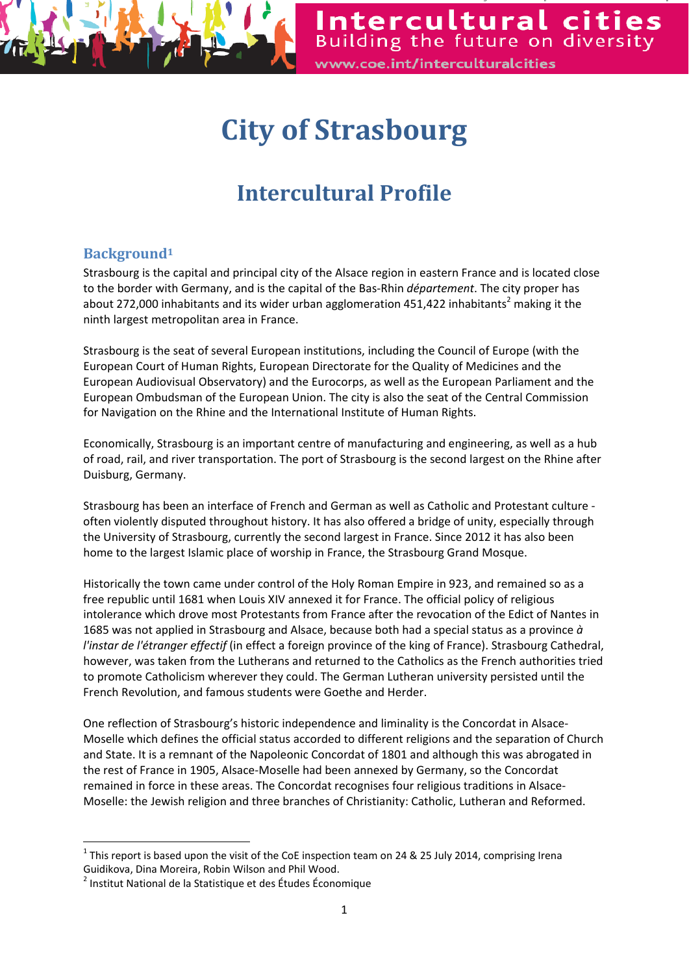

Intercultural cities Building the future on diversity www.coe.int/interculturalcities

# **City of Strasbourg**

## **Intercultural Profile**

## **Background1**

Strasbourg is the capital and principal city of the Alsace region in eastern France and is located close to the border with Germany, and is the capital of the Bas‐Rhin *département*. The city proper has about 272,000 inhabitants and its wider urban agglomeration 451,422 inhabitants<sup>2</sup> making it the ninth largest metropolitan area in France.

Strasbourg is the seat of several European institutions, including the Council of Europe (with the European Court of Human Rights, European Directorate for the Quality of Medicines and the European Audiovisual Observatory) and the Eurocorps, as well as the European Parliament and the European Ombudsman of the European Union. The city is also the seat of the Central Commission for Navigation on the Rhine and the International Institute of Human Rights.

Economically, Strasbourg is an important centre of manufacturing and engineering, as well as a hub of road, rail, and river transportation. The port of Strasbourg is the second largest on the Rhine after Duisburg, Germany.

Strasbourg has been an interface of French and German as well as Catholic and Protestant culture ‐ often violently disputed throughout history. It has also offered a bridge of unity, especially through the University of Strasbourg, currently the second largest in France. Since 2012 it has also been home to the largest Islamic place of worship in France, the Strasbourg Grand Mosque.

Historically the town came under control of the Holy Roman Empire in 923, and remained so as a free republic until 1681 when Louis XIV annexed it for France. The official policy of religious intolerance which drove most Protestants from France after the revocation of the Edict of Nantes in 1685 was not applied in Strasbourg and Alsace, because both had a special status as a province *à l'instar de l'étranger effectif* (in effect a foreign province of the king of France). Strasbourg Cathedral, however, was taken from the Lutherans and returned to the Catholics as the French authorities tried to promote Catholicism wherever they could. The German Lutheran university persisted until the French Revolution, and famous students were Goethe and Herder.

One reflection of Strasbourg's historic independence and liminality is the Concordat in Alsace‐ Moselle which defines the official status accorded to different religions and the separation of Church and State. It is a remnant of the Napoleonic Concordat of 1801 and although this was abrogated in the rest of France in 1905, Alsace‐Moselle had been annexed by Germany, so the Concordat remained in force in these areas. The Concordat recognises four religious traditions in Alsace‐ Moselle: the Jewish religion and three branches of Christianity: Catholic, Lutheran and Reformed.

 $1$  This report is based upon the visit of the CoE inspection team on 24 & 25 July 2014, comprising Irena Guidikova, Dina Moreira, Robin Wilson and Phil Wood.<br><sup>2</sup> Institut National de la Statistique et des Études Économique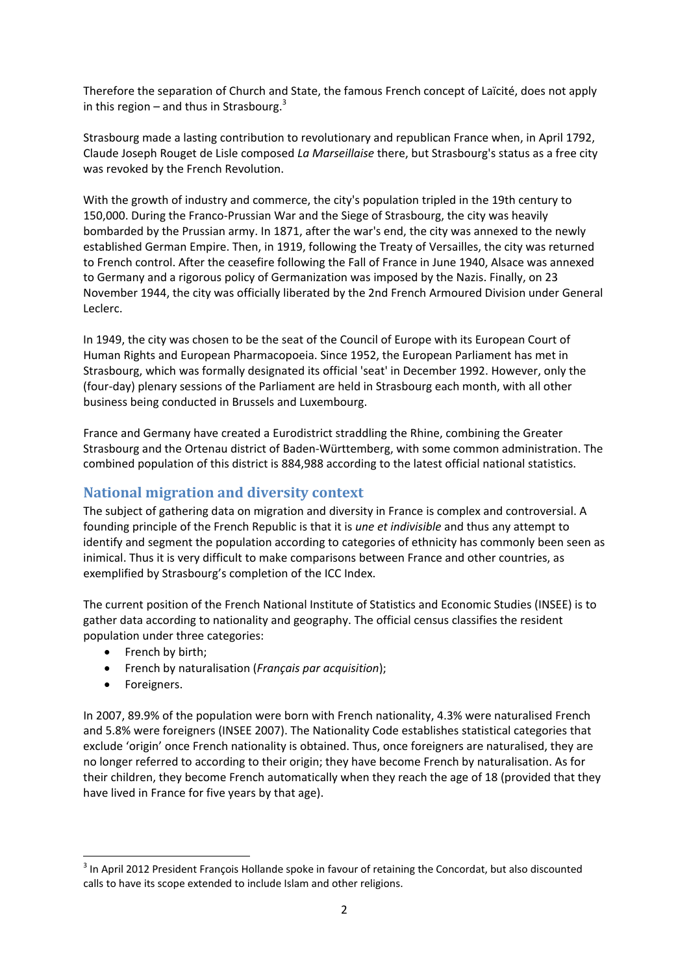Therefore the separation of Church and State, the famous French concept of Laïcité, does not apply in this region – and thus in Strasbourg.<sup>3</sup>

Strasbourg made a lasting contribution to revolutionary and republican France when, in April 1792, Claude Joseph Rouget de Lisle composed *La Marseillaise* there, but Strasbourg's status as a free city was revoked by the French Revolution.

With the growth of industry and commerce, the city's population tripled in the 19th century to 150,000. During the Franco‐Prussian War and the Siege of Strasbourg, the city was heavily bombarded by the Prussian army. In 1871, after the war's end, the city was annexed to the newly established German Empire. Then, in 1919, following the Treaty of Versailles, the city was returned to French control. After the ceasefire following the Fall of France in June 1940, Alsace was annexed to Germany and a rigorous policy of Germanization was imposed by the Nazis. Finally, on 23 November 1944, the city was officially liberated by the 2nd French Armoured Division under General Leclerc.

In 1949, the city was chosen to be the seat of the Council of Europe with its European Court of Human Rights and European Pharmacopoeia. Since 1952, the European Parliament has met in Strasbourg, which was formally designated its official 'seat' in December 1992. However, only the (four‐day) plenary sessions of the Parliament are held in Strasbourg each month, with all other business being conducted in Brussels and Luxembourg.

France and Germany have created a Eurodistrict straddling the Rhine, combining the Greater Strasbourg and the Ortenau district of Baden‐Württemberg, with some common administration. The combined population of this district is 884,988 according to the latest official national statistics.

## **National migration and diversity context**

The subject of gathering data on migration and diversity in France is complex and controversial. A founding principle of the French Republic is that it is *une et indivisible* and thus any attempt to identify and segment the population according to categories of ethnicity has commonly been seen as inimical. Thus it is very difficult to make comparisons between France and other countries, as exemplified by Strasbourg's completion of the ICC Index.

The current position of the French National Institute of Statistics and Economic Studies (INSEE) is to gather data according to nationality and geography. The official census classifies the resident population under three categories:

• French by birth;

- French by naturalisation (*Français par acquisition*);
- Foreigners.

In 2007, 89.9% of the population were born with French nationality, 4.3% were naturalised French and 5.8% were foreigners (INSEE 2007). The Nationality Code establishes statistical categories that exclude 'origin' once French nationality is obtained. Thus, once foreigners are naturalised, they are no longer referred to according to their origin; they have become French by naturalisation. As for their children, they become French automatically when they reach the age of 18 (provided that they have lived in France for five years by that age).

<sup>&</sup>lt;sup>3</sup> In April 2012 President François Hollande spoke in favour of retaining the Concordat, but also discounted calls to have its scope extended to include Islam and other religions.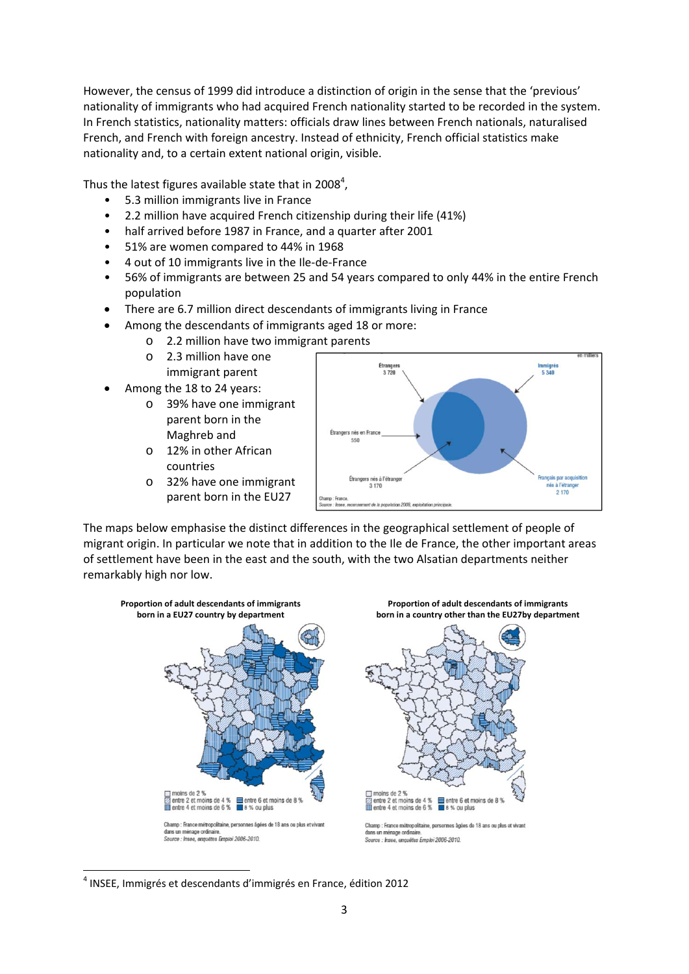However, the census of 1999 did introduce a distinction of origin in the sense that the 'previous' nationality of immigrants who had acquired French nationality started to be recorded in the system. In French statistics, nationality matters: officials draw lines between French nationals, naturalised French, and French with foreign ancestry. Instead of ethnicity, French official statistics make nationality and, to a certain extent national origin, visible.

Thus the latest figures available state that in 2008<sup>4</sup>,

- 5.3 million immigrants live in France
- 2.2 million have acquired French citizenship during their life (41%)
- half arrived before 1987 in France, and a quarter after 2001
- 51% are women compared to 44% in 1968
- 4 out of 10 immigrants live in the Ile‐de‐France
- 56% of immigrants are between 25 and 54 years compared to only 44% in the entire French population
- There are 6.7 million direct descendants of immigrants living in France
- Among the descendants of immigrants aged 18 or more:
	- o 2.2 million have two immigrant parents
	- o 2.3 million have one
	- immigrant parent
- Among the 18 to 24 years:
	- o 39% have one immigrant parent born in the Maghreb and
	- o 12% in other African countries
	- o 32% have one immigrant parent born in the EU27



The maps below emphasise the distinct differences in the geographical settlement of people of migrant origin. In particular we note that in addition to the Ile de France, the other important areas of settlement have been in the east and the south, with the two Alsatian departments neither remarkably high nor low.



  $4$  INSEE, Immigrés et descendants d'immigrés en France, édition 2012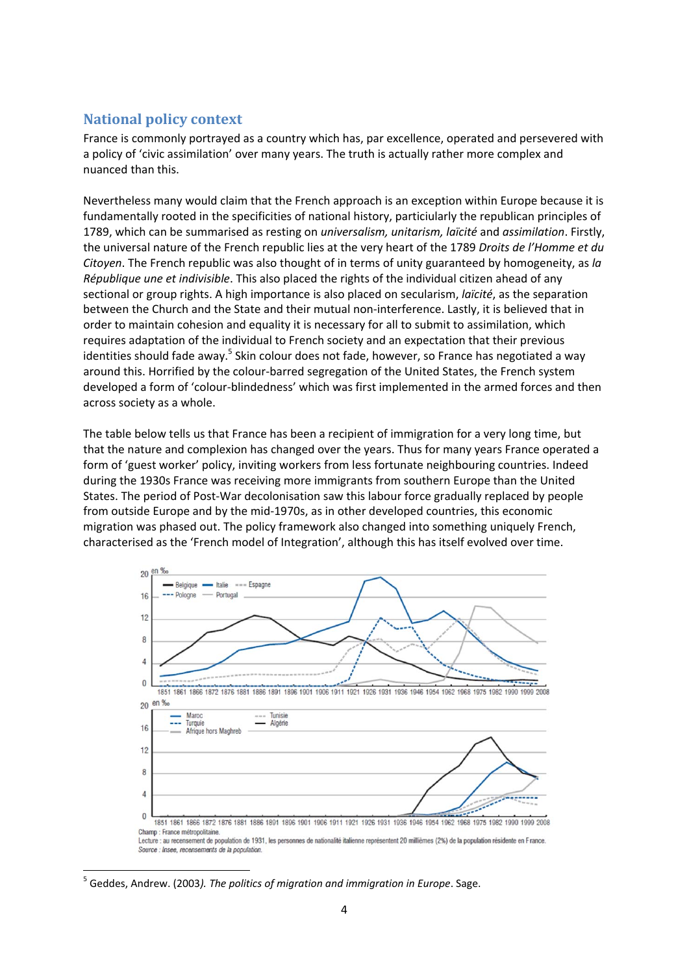## **National policy context**

France is commonly portrayed as a country which has, par excellence, operated and persevered with a policy of 'civic assimilation' over many years. The truth is actually rather more complex and nuanced than this.

Nevertheless many would claim that the French approach is an exception within Europe because it is fundamentally rooted in the specificities of national history, particiularly the republican principles of 1789, which can be summarised as resting on *universalism, unitarism, laïcité* and *assimilation*. Firstly, the universal nature of the French republic lies at the very heart of the 1789 *Droits de l'Homme et du Citoyen*. The French republic was also thought of in terms of unity guaranteed by homogeneity, as *la République une et indivisible*. This also placed the rights of the individual citizen ahead of any sectional or group rights. A high importance is also placed on secularism, *laïcité*, as the separation between the Church and the State and their mutual non-interference. Lastly, it is believed that in order to maintain cohesion and equality it is necessary for all to submit to assimilation, which requires adaptation of the individual to French society and an expectation that their previous identities should fade away.<sup>5</sup> Skin colour does not fade, however, so France has negotiated a way around this. Horrified by the colour‐barred segregation of the United States, the French system developed a form of 'colour‐blindedness' which was first implemented in the armed forces and then across society as a whole.

The table below tells us that France has been a recipient of immigration for a very long time, but that the nature and complexion has changed over the years. Thus for many years France operated a form of 'guest worker' policy, inviting workers from less fortunate neighbouring countries. Indeed during the 1930s France was receiving more immigrants from southern Europe than the United States. The period of Post‐War decolonisation saw this labour force gradually replaced by people from outside Europe and by the mid‐1970s, as in other developed countries, this economic migration was phased out. The policy framework also changed into something uniquely French, characterised as the 'French model of Integration', although this has itself evolved over time.



<sup>5</sup> Geddes, Andrew. (2003*). The politics of migration and immigration in Europe*. Sage.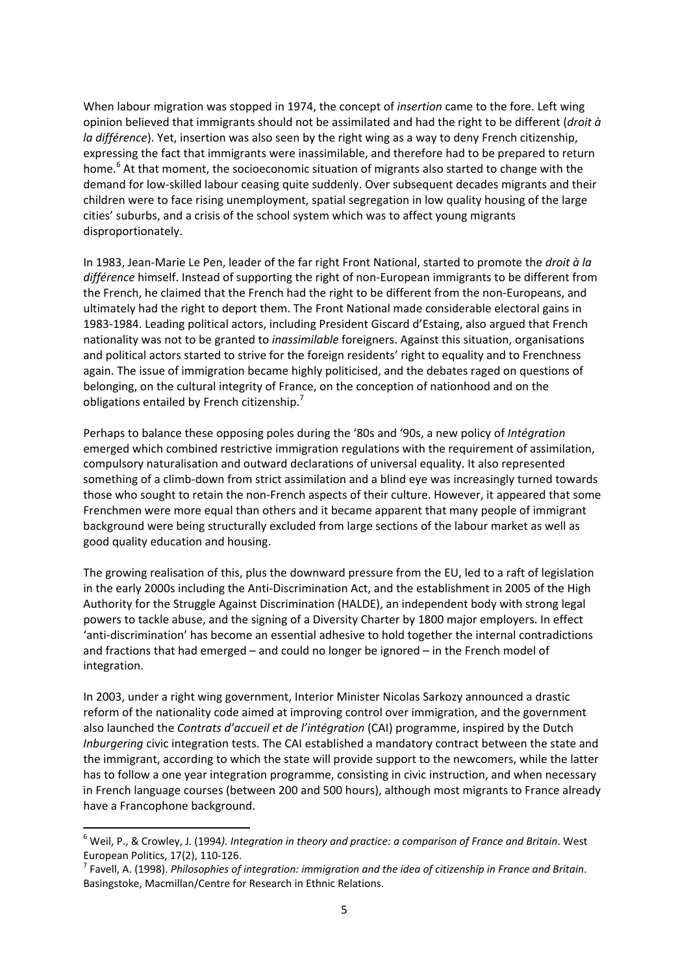When labour migration was stopped in 1974, the concept of *insertion* came to the fore. Left wing opinion believed that immigrants should not be assimilated and had the right to be different (*droit à la différence*). Yet, insertion was also seen by the right wing as a way to deny French citizenship, expressing the fact that immigrants were inassimilable, and therefore had to be prepared to return home.<sup>6</sup> At that moment, the socioeconomic situation of migrants also started to change with the demand for low‐skilled labour ceasing quite suddenly. Over subsequent decades migrants and their children were to face rising unemployment, spatial segregation in low quality housing of the large cities' suburbs, and a crisis of the school system which was to affect young migrants disproportionately.

In 1983, Jean‐Marie Le Pen, leader of the far right Front National, started to promote the *droit à la différence* himself. Instead of supporting the right of non‐European immigrants to be different from the French, he claimed that the French had the right to be different from the non-Europeans, and ultimately had the right to deport them. The Front National made considerable electoral gains in 1983‐1984. Leading political actors, including President Giscard d'Estaing, also argued that French nationality was not to be granted to *inassimilable* foreigners. Against this situation, organisations and political actors started to strive for the foreign residents' right to equality and to Frenchness again. The issue of immigration became highly politicised, and the debates raged on questions of belonging, on the cultural integrity of France, on the conception of nationhood and on the obligations entailed by French citizenship.<sup>7</sup>

Perhaps to balance these opposing poles during the '80s and '90s, a new policy of *Intégration* emerged which combined restrictive immigration regulations with the requirement of assimilation, compulsory naturalisation and outward declarations of universal equality. It also represented something of a climb-down from strict assimilation and a blind eye was increasingly turned towards those who sought to retain the non‐French aspects of their culture. However, it appeared that some Frenchmen were more equal than others and it became apparent that many people of immigrant background were being structurally excluded from large sections of the labour market as well as good quality education and housing.

The growing realisation of this, plus the downward pressure from the EU, led to a raft of legislation in the early 2000s including the Anti‐Discrimination Act, and the establishment in 2005 of the High Authority for the Struggle Against Discrimination (HALDE), an independent body with strong legal powers to tackle abuse, and the signing of a Diversity Charter by 1800 major employers. In effect 'anti‐discrimination' has become an essential adhesive to hold together the internal contradictions and fractions that had emerged – and could no longer be ignored – in the French model of integration.

In 2003, under a right wing government, Interior Minister Nicolas Sarkozy announced a drastic reform of the nationality code aimed at improving control over immigration, and the government also launched the *Contrats d'accueil et de l'intégration* (CAI) programme, inspired by the Dutch *Inburgering* civic integration tests. The CAI established a mandatory contract between the state and the immigrant, according to which the state will provide support to the newcomers, while the latter has to follow a one year integration programme, consisting in civic instruction, and when necessary in French language courses (between 200 and 500 hours), although most migrants to France already have a Francophone background.

<sup>6</sup> Weil, P., & Crowley, J. (1994*). Integration in theory and practice: a comparison of France and Britain*. West European Politics, 17(2), 110-126.<br><sup>7</sup> Favell, A. (1998). *Philosophies of integration: immigration and the idea of citizenship in France and Britain.* 

Basingstoke, Macmillan/Centre for Research in Ethnic Relations.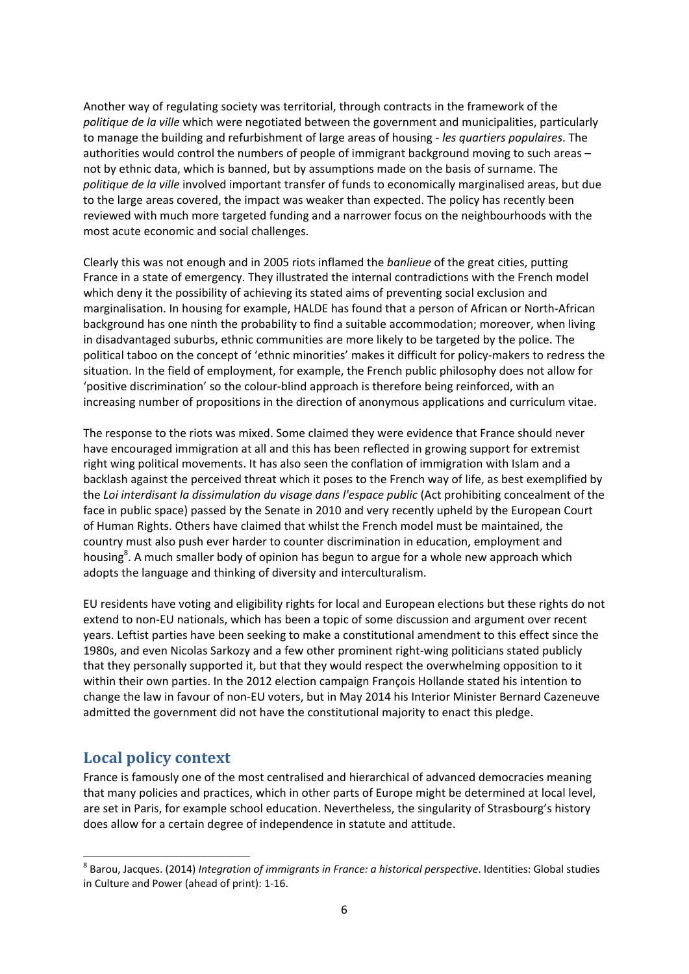Another way of regulating society was territorial, through contracts in the framework of the *politique de la ville* which were negotiated between the government and municipalities, particularly to manage the building and refurbishment of large areas of housing ‐ *les quartiers populaires*. The authorities would control the numbers of people of immigrant background moving to such areas – not by ethnic data, which is banned, but by assumptions made on the basis of surname. The *politique de la ville* involved important transfer of funds to economically marginalised areas, but due to the large areas covered, the impact was weaker than expected. The policy has recently been reviewed with much more targeted funding and a narrower focus on the neighbourhoods with the most acute economic and social challenges.

Clearly this was not enough and in 2005 riots inflamed the *banlieue* of the great cities, putting France in a state of emergency. They illustrated the internal contradictions with the French model which deny it the possibility of achieving its stated aims of preventing social exclusion and marginalisation. In housing for example, HALDE has found that a person of African or North‐African background has one ninth the probability to find a suitable accommodation; moreover, when living in disadvantaged suburbs, ethnic communities are more likely to be targeted by the police. The political taboo on the concept of 'ethnic minorities' makes it difficult for policy-makers to redress the situation. In the field of employment, for example, the French public philosophy does not allow for 'positive discrimination' so the colour‐blind approach is therefore being reinforced, with an increasing number of propositions in the direction of anonymous applications and curriculum vitae.

The response to the riots was mixed. Some claimed they were evidence that France should never have encouraged immigration at all and this has been reflected in growing support for extremist right wing political movements. It has also seen the conflation of immigration with Islam and a backlash against the perceived threat which it poses to the French way of life, as best exemplified by the *Loi interdisant la dissimulation du visage dans l'espace public* (Act prohibiting concealment of the face in public space) passed by the Senate in 2010 and very recently upheld by the European Court of Human Rights. Others have claimed that whilst the French model must be maintained, the country must also push ever harder to counter discrimination in education, employment and housing<sup>8</sup>. A much smaller body of opinion has begun to argue for a whole new approach which adopts the language and thinking of diversity and interculturalism.

EU residents have voting and eligibility rights for local and European elections but these rights do not extend to non‐EU nationals, which has been a topic of some discussion and argument over recent years. Leftist parties have been seeking to make a constitutional amendment to this effect since the 1980s, and even Nicolas Sarkozy and a few other prominent right‐wing politicians stated publicly that they personally supported it, but that they would respect the overwhelming opposition to it within their own parties. In the 2012 election campaign François Hollande stated his intention to change the law in favour of non‐EU voters, but in May 2014 his Interior Minister Bernard Cazeneuve admitted the government did not have the constitutional majority to enact this pledge.

## **Local policy context**

France is famously one of the most centralised and hierarchical of advanced democracies meaning that many policies and practices, which in other parts of Europe might be determined at local level, are set in Paris, for example school education. Nevertheless, the singularity of Strasbourg's history does allow for a certain degree of independence in statute and attitude.

<sup>8</sup> Barou, Jacques. (2014) *Integration of immigrants in France: a historical perspective*. Identities: Global studies in Culture and Power (ahead of print): 1‐16.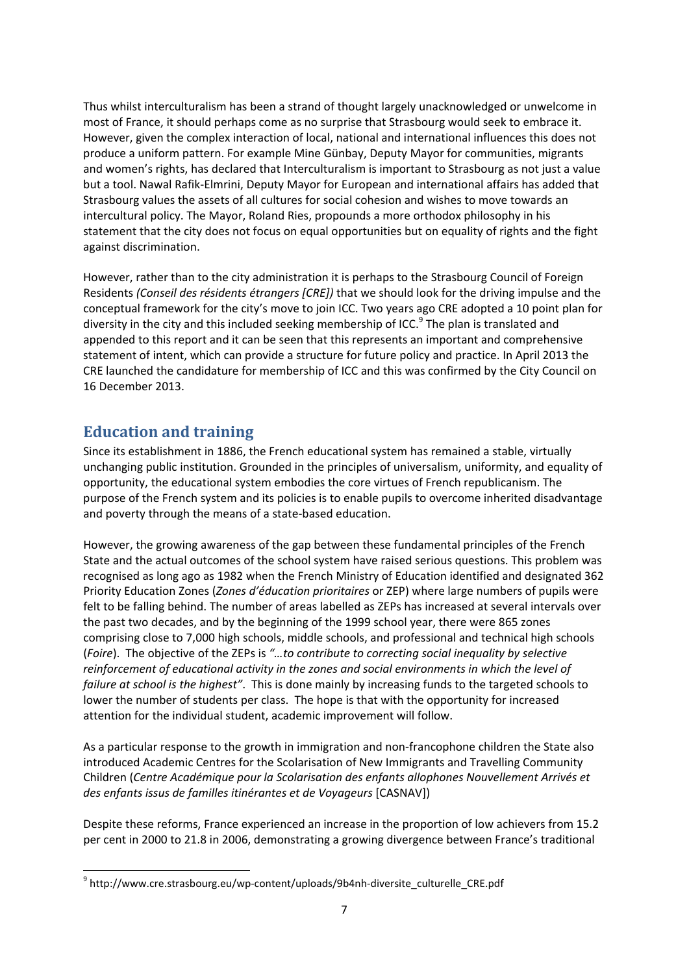Thus whilst interculturalism has been a strand of thought largely unacknowledged or unwelcome in most of France, it should perhaps come as no surprise that Strasbourg would seek to embrace it. However, given the complex interaction of local, national and international influences this does not produce a uniform pattern. For example Mine Günbay, Deputy Mayor for communities, migrants and women's rights, has declared that Interculturalism is important to Strasbourg as not just a value but a tool. Nawal Rafik‐Elmrini, Deputy Mayor for European and international affairs has added that Strasbourg values the assets of all cultures for social cohesion and wishes to move towards an intercultural policy. The Mayor, Roland Ries, propounds a more orthodox philosophy in his statement that the city does not focus on equal opportunities but on equality of rights and the fight against discrimination.

However, rather than to the city administration it is perhaps to the Strasbourg Council of Foreign Residents *(Conseil des résidents étrangers [CRE])* that we should look for the driving impulse and the conceptual framework for the city's move to join ICC. Two years ago CRE adopted a 10 point plan for diversity in the city and this included seeking membership of ICC.<sup>9</sup> The plan is translated and appended to this report and it can be seen that this represents an important and comprehensive statement of intent, which can provide a structure for future policy and practice. In April 2013 the CRE launched the candidature for membership of ICC and this was confirmed by the City Council on 16 December 2013.

## **Education and training**

Since its establishment in 1886, the French educational system has remained a stable, virtually unchanging public institution. Grounded in the principles of universalism, uniformity, and equality of opportunity, the educational system embodies the core virtues of French republicanism. The purpose of the French system and its policies is to enable pupils to overcome inherited disadvantage and poverty through the means of a state‐based education.

However, the growing awareness of the gap between these fundamental principles of the French State and the actual outcomes of the school system have raised serious questions. This problem was recognised as long ago as 1982 when the French Ministry of Education identified and designated 362 Priority Education Zones (*Zones d'éducation prioritaires* or ZEP) where large numbers of pupils were felt to be falling behind. The number of areas labelled as ZEPs has increased at several intervals over the past two decades, and by the beginning of the 1999 school year, there were 865 zones comprising close to 7,000 high schools, middle schools, and professional and technical high schools (*Foire*). The objective of the ZEPs is *"…to contribute to correcting social inequality by selective reinforcement of educational activity in the zones and social environments in which the level of failure at school is the highest"*. This is done mainly by increasing funds to the targeted schools to lower the number of students per class. The hope is that with the opportunity for increased attention for the individual student, academic improvement will follow.

As a particular response to the growth in immigration and non-francophone children the State also introduced Academic Centres for the Scolarisation of New Immigrants and Travelling Community Children (*Centre Académique pour la Scolarisation des enfants allophones Nouvellement Arrivés et des enfants issus de familles itinérantes et de Voyageurs* [CASNAV])

Despite these reforms, France experienced an increase in the proportion of low achievers from 15.2 per cent in 2000 to 21.8 in 2006, demonstrating a growing divergence between France's traditional

<sup>&</sup>lt;sup>9</sup> http://www.cre.strasbourg.eu/wp-content/uploads/9b4nh-diversite\_culturelle\_CRE.pdf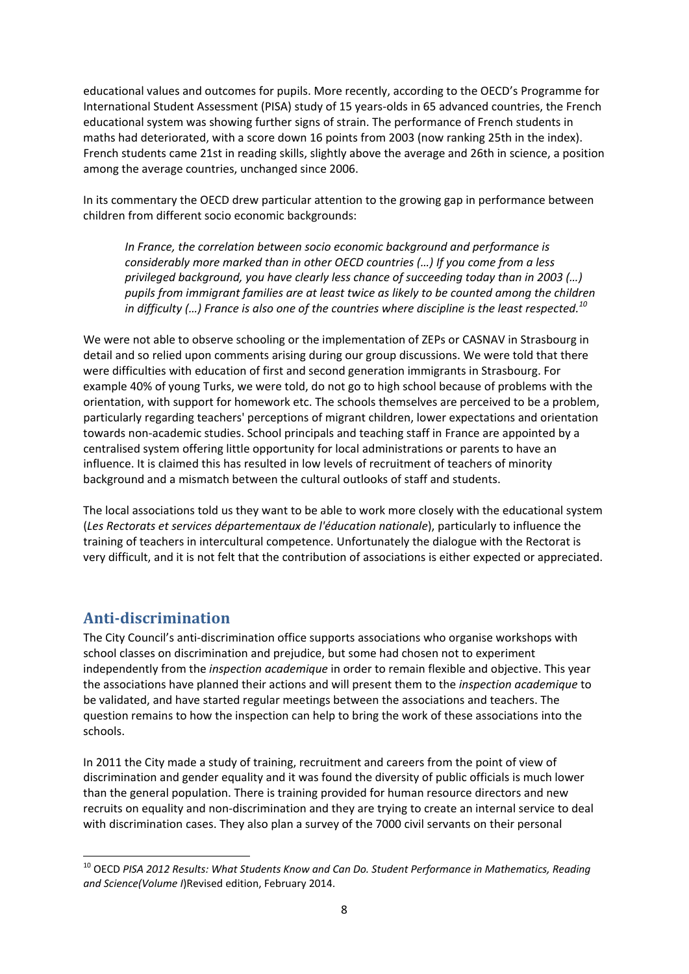educational values and outcomes for pupils. More recently, according to the OECD's Programme for International Student Assessment (PISA) study of 15 years‐olds in 65 advanced countries, the French educational system was showing further signs of strain. The performance of French students in maths had deteriorated, with a score down 16 points from 2003 (now ranking 25th in the index). French students came 21st in reading skills, slightly above the average and 26th in science, a position among the average countries, unchanged since 2006.

In its commentary the OECD drew particular attention to the growing gap in performance between children from different socio economic backgrounds:

*In France, the correlation between socio economic background and performance is considerably more marked than in other OECD countries (…) If you come from a less privileged background, you have clearly less chance of succeeding today than in 2003 (…) pupils from immigrant families are at least twice as likely to be counted among the children in difficulty (…) France is also one of the countries where discipline is the least respected.<sup>10</sup>*

We were not able to observe schooling or the implementation of ZEPs or CASNAV in Strasbourg in detail and so relied upon comments arising during our group discussions. We were told that there were difficulties with education of first and second generation immigrants in Strasbourg. For example 40% of young Turks, we were told, do not go to high school because of problems with the orientation, with support for homework etc. The schools themselves are perceived to be a problem, particularly regarding teachers' perceptions of migrant children, lower expectations and orientation towards non‐academic studies. School principals and teaching staff in France are appointed by a centralised system offering little opportunity for local administrations or parents to have an influence. It is claimed this has resulted in low levels of recruitment of teachers of minority background and a mismatch between the cultural outlooks of staff and students.

The local associations told us they want to be able to work more closely with the educational system (*Les Rectorats et services départementaux de l'éducation nationale*), particularly to influence the training of teachers in intercultural competence. Unfortunately the dialogue with the Rectorat is very difficult, and it is not felt that the contribution of associations is either expected or appreciated.

## **Anti‐discrimination**

The City Council's anti‐discrimination office supports associations who organise workshops with school classes on discrimination and prejudice, but some had chosen not to experiment independently from the *inspection academique* in order to remain flexible and objective. This year the associations have planned their actions and will present them to the *inspection academique* to be validated, and have started regular meetings between the associations and teachers. The question remains to how the inspection can help to bring the work of these associations into the schools.

In 2011 the City made a study of training, recruitment and careers from the point of view of discrimination and gender equality and it was found the diversity of public officials is much lower than the general population. There is training provided for human resource directors and new recruits on equality and non‐discrimination and they are trying to create an internal service to deal with discrimination cases. They also plan a survey of the 7000 civil servants on their personal

 <sup>10</sup> OECD *PISA 2012 Results: What Students Know and Can Do. Student Performance in Mathematics, Reading and Science(Volume I*)Revised edition, February 2014.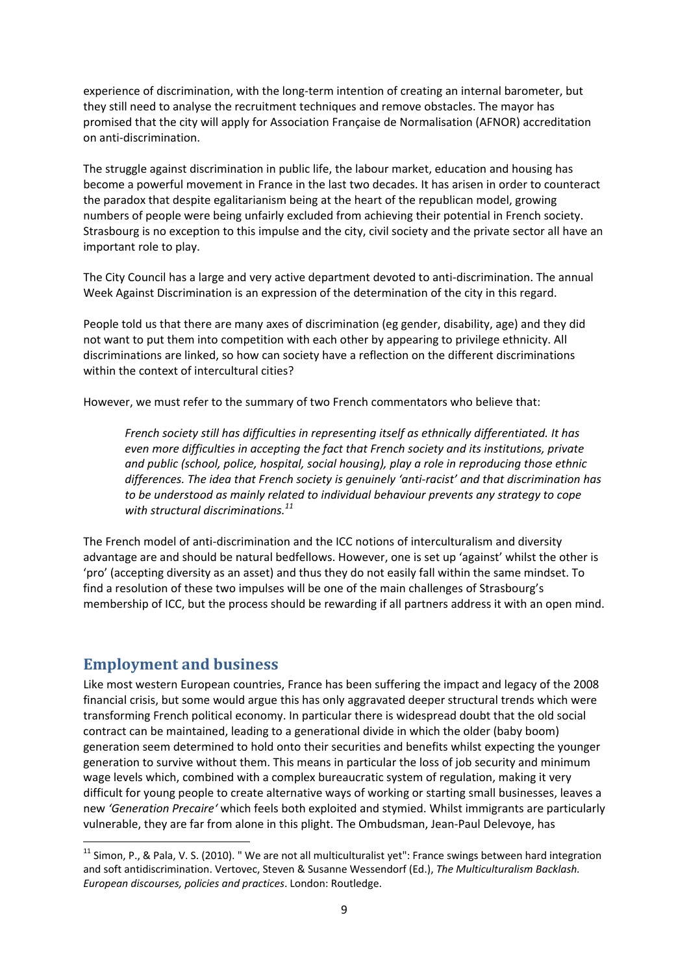experience of discrimination, with the long-term intention of creating an internal barometer, but they still need to analyse the recruitment techniques and remove obstacles. The mayor has promised that the city will apply for Association Française de Normalisation (AFNOR) accreditation on anti‐discrimination.

The struggle against discrimination in public life, the labour market, education and housing has become a powerful movement in France in the last two decades. It has arisen in order to counteract the paradox that despite egalitarianism being at the heart of the republican model, growing numbers of people were being unfairly excluded from achieving their potential in French society. Strasbourg is no exception to this impulse and the city, civil society and the private sector all have an important role to play.

The City Council has a large and very active department devoted to anti‐discrimination. The annual Week Against Discrimination is an expression of the determination of the city in this regard.

People told us that there are many axes of discrimination (eg gender, disability, age) and they did not want to put them into competition with each other by appearing to privilege ethnicity. All discriminations are linked, so how can society have a reflection on the different discriminations within the context of intercultural cities?

However, we must refer to the summary of two French commentators who believe that:

*French society still has difficulties in representing itself as ethnically differentiated. It has even more difficulties in accepting the fact that French society and its institutions, private and public (school, police, hospital, social housing), play a role in reproducing those ethnic differences. The idea that French society is genuinely 'anti‐racist' and that discrimination has to be understood as mainly related to individual behaviour prevents any strategy to cope with structural discriminations.<sup>11</sup>*

The French model of anti-discrimination and the ICC notions of interculturalism and diversity advantage are and should be natural bedfellows. However, one is set up 'against' whilst the other is 'pro' (accepting diversity as an asset) and thus they do not easily fall within the same mindset. To find a resolution of these two impulses will be one of the main challenges of Strasbourg's membership of ICC, but the process should be rewarding if all partners address it with an open mind.

## **Employment and business**

Like most western European countries, France has been suffering the impact and legacy of the 2008 financial crisis, but some would argue this has only aggravated deeper structural trends which were transforming French political economy. In particular there is widespread doubt that the old social contract can be maintained, leading to a generational divide in which the older (baby boom) generation seem determined to hold onto their securities and benefits whilst expecting the younger generation to survive without them. This means in particular the loss of job security and minimum wage levels which, combined with a complex bureaucratic system of regulation, making it very difficult for young people to create alternative ways of working or starting small businesses, leaves a new *'Generation Precaire'* which feels both exploited and stymied. Whilst immigrants are particularly vulnerable, they are far from alone in this plight. The Ombudsman, Jean‐Paul Delevoye, has

 $11$  Simon, P., & Pala, V. S. (2010). "We are not all multiculturalist yet": France swings between hard integration and soft antidiscrimination. Vertovec, Steven & Susanne Wessendorf (Ed.), *The Multiculturalism Backlash. European discourses, policies and practices*. London: Routledge.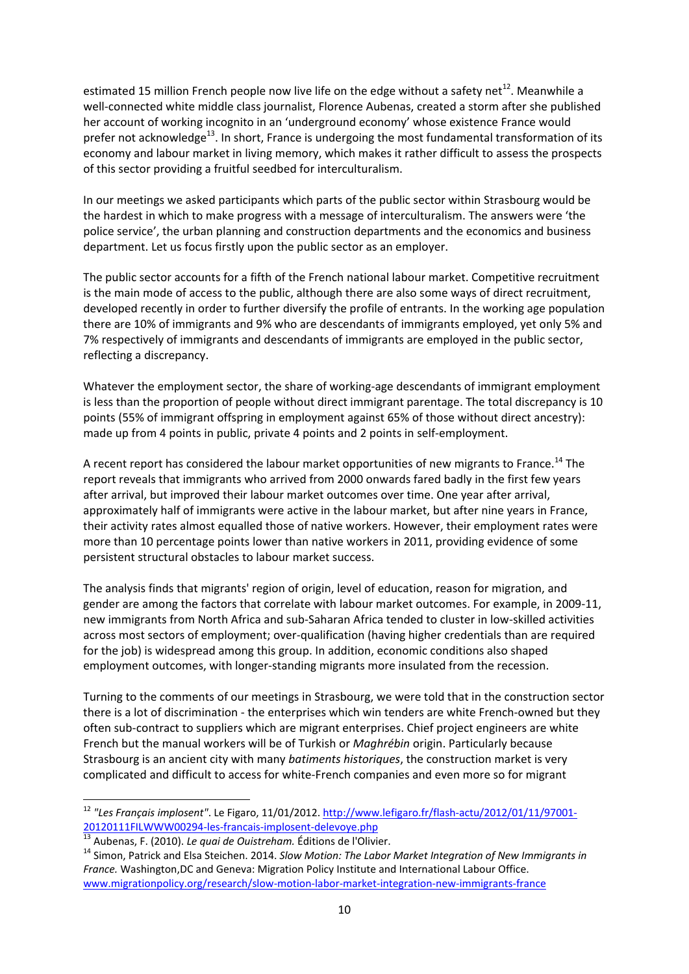estimated 15 million French people now live life on the edge without a safety net<sup>12</sup>. Meanwhile a well-connected white middle class journalist, Florence Aubenas, created a storm after she published her account of working incognito in an 'underground economy' whose existence France would prefer not acknowledge<sup>13</sup>. In short, France is undergoing the most fundamental transformation of its economy and labour market in living memory, which makes it rather difficult to assess the prospects of this sector providing a fruitful seedbed for interculturalism.

In our meetings we asked participants which parts of the public sector within Strasbourg would be the hardest in which to make progress with a message of interculturalism. The answers were 'the police service', the urban planning and construction departments and the economics and business department. Let us focus firstly upon the public sector as an employer.

The public sector accounts for a fifth of the French national labour market. Competitive recruitment is the main mode of access to the public, although there are also some ways of direct recruitment, developed recently in order to further diversify the profile of entrants. In the working age population there are 10% of immigrants and 9% who are descendants of immigrants employed, yet only 5% and 7% respectively of immigrants and descendants of immigrants are employed in the public sector, reflecting a discrepancy.

Whatever the employment sector, the share of working-age descendants of immigrant employment is less than the proportion of people without direct immigrant parentage. The total discrepancy is 10 points (55% of immigrant offspring in employment against 65% of those without direct ancestry): made up from 4 points in public, private 4 points and 2 points in self-employment.

A recent report has considered the labour market opportunities of new migrants to France.<sup>14</sup> The report reveals that immigrants who arrived from 2000 onwards fared badly in the first few years after arrival, but improved their labour market outcomes over time. One year after arrival, approximately half of immigrants were active in the labour market, but after nine years in France, their activity rates almost equalled those of native workers. However, their employment rates were more than 10 percentage points lower than native workers in 2011, providing evidence of some persistent structural obstacles to labour market success.

The analysis finds that migrants' region of origin, level of education, reason for migration, and gender are among the factors that correlate with labour market outcomes. For example, in 2009‐11, new immigrants from North Africa and sub‐Saharan Africa tended to cluster in low‐skilled activities across most sectors of employment; over‐qualification (having higher credentials than are required for the job) is widespread among this group. In addition, economic conditions also shaped employment outcomes, with longer‐standing migrants more insulated from the recession.

Turning to the comments of our meetings in Strasbourg, we were told that in the construction sector there is a lot of discrimination ‐ the enterprises which win tenders are white French‐owned but they often sub‐contract to suppliers which are migrant enterprises. Chief project engineers are white French but the manual workers will be of Turkish or *Maghrébin* origin. Particularly because Strasbourg is an ancient city with many *batiments historiques*, the construction market is very complicated and difficult to access for white‐French companies and even more so for migrant

<sup>12</sup> *"Les Français implosent"*. Le Figaro, 11/01/2012. http://www.lefigaro.fr/flash‐actu/2012/01/11/97001‐ 20120111FILWWW00294-les-francais-implosent-delevoye.php<br>
<sup>13</sup> Aubenas, F. (2010). Le quai de Ouistreham. Éditions de l'Olivier.<br>
<sup>14</sup> Simon, Patrick and Elsa Steichen. 2014. Slow Motion: The Labor Market Integration of New

*France.* Washington,DC and Geneva: Migration Policy Institute and International Labour Office. www.migrationpolicy.org/research/slow-motion-labor-market-integration-new-immigrants-france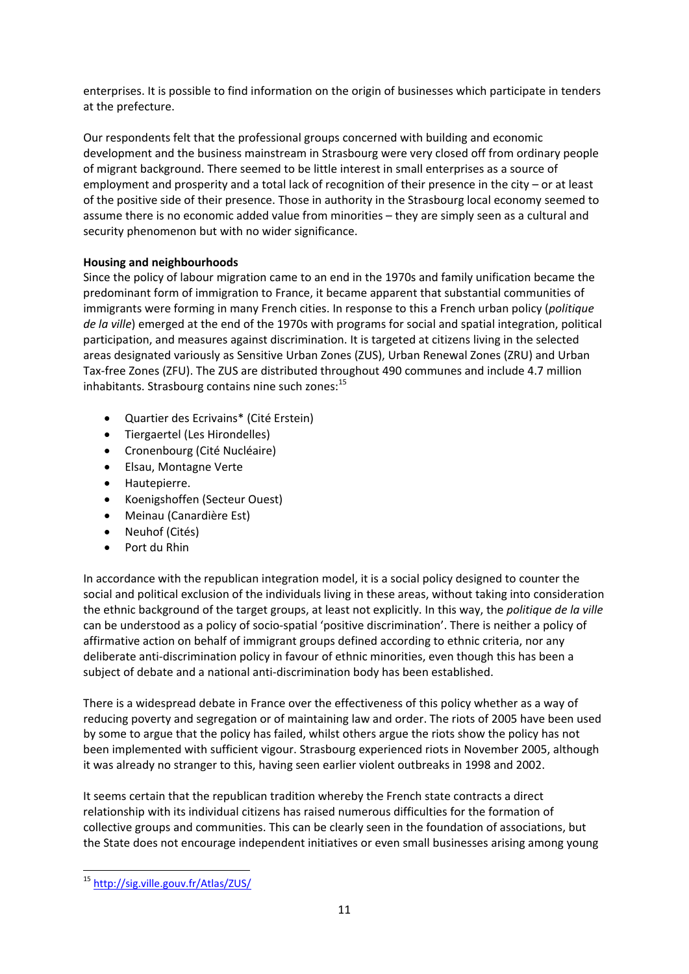enterprises. It is possible to find information on the origin of businesses which participate in tenders at the prefecture.

Our respondents felt that the professional groups concerned with building and economic development and the business mainstream in Strasbourg were very closed off from ordinary people of migrant background. There seemed to be little interest in small enterprises as a source of employment and prosperity and a total lack of recognition of their presence in the city – or at least of the positive side of their presence. Those in authority in the Strasbourg local economy seemed to assume there is no economic added value from minorities – they are simply seen as a cultural and security phenomenon but with no wider significance.

#### **Housing and neighbourhoods**

Since the policy of labour migration came to an end in the 1970s and family unification became the predominant form of immigration to France, it became apparent that substantial communities of immigrants were forming in many French cities. In response to this a French urban policy (*politique de la ville*) emerged at the end of the 1970s with programs for social and spatial integration, political participation, and measures against discrimination. It is targeted at citizens living in the selected areas designated variously as Sensitive Urban Zones (ZUS), Urban Renewal Zones (ZRU) and Urban Tax‐free Zones (ZFU). The ZUS are distributed throughout 490 communes and include 4.7 million inhabitants. Strasbourg contains nine such zones:<sup>15</sup>

- Quartier des Ecrivains\* (Cité Erstein)
- Tiergaertel (Les Hirondelles)
- Cronenbourg (Cité Nucléaire)
- Elsau, Montagne Verte
- Hautepierre.
- Koenigshoffen (Secteur Ouest)
- Meinau (Canardière Est)
- Neuhof (Cités)
- Port du Rhin

In accordance with the republican integration model, it is a social policy designed to counter the social and political exclusion of the individuals living in these areas, without taking into consideration the ethnic background of the target groups, at least not explicitly. In this way, the *politique de la ville* can be understood as a policy of socio‐spatial 'positive discrimination'. There is neither a policy of affirmative action on behalf of immigrant groups defined according to ethnic criteria, nor any deliberate anti‐discrimination policy in favour of ethnic minorities, even though this has been a subject of debate and a national anti-discrimination body has been established.

There is a widespread debate in France over the effectiveness of this policy whether as a way of reducing poverty and segregation or of maintaining law and order. The riots of 2005 have been used by some to argue that the policy has failed, whilst others argue the riots show the policy has not been implemented with sufficient vigour. Strasbourg experienced riots in November 2005, although it was already no stranger to this, having seen earlier violent outbreaks in 1998 and 2002.

It seems certain that the republican tradition whereby the French state contracts a direct relationship with its individual citizens has raised numerous difficulties for the formation of collective groups and communities. This can be clearly seen in the foundation of associations, but the State does not encourage independent initiatives or even small businesses arising among young

 <sup>15</sup> http://sig.ville.gouv.fr/Atlas/ZUS/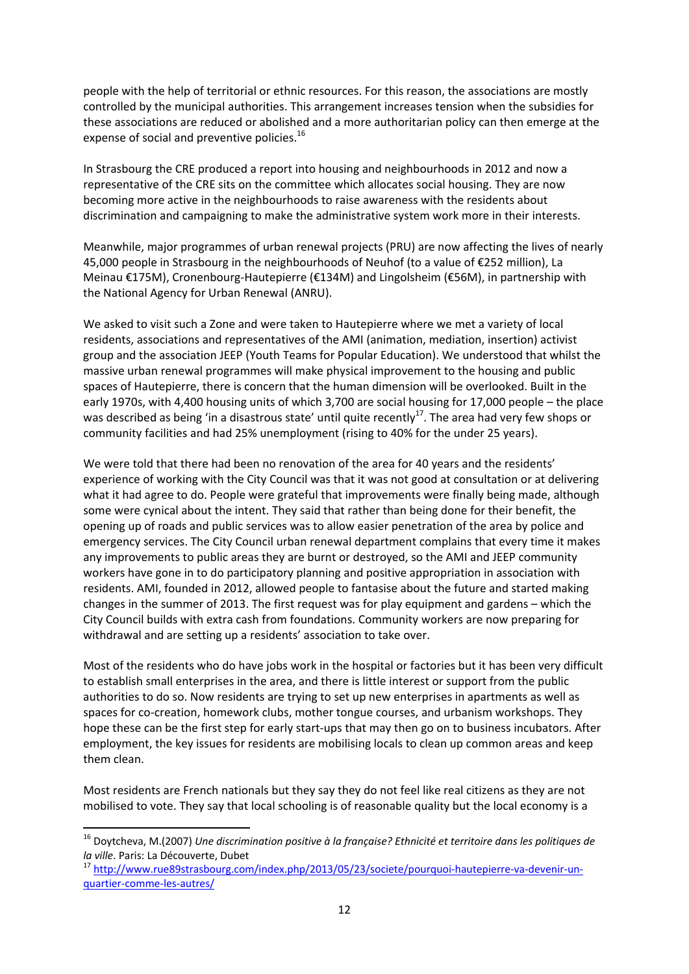people with the help of territorial or ethnic resources. For this reason, the associations are mostly controlled by the municipal authorities. This arrangement increases tension when the subsidies for these associations are reduced or abolished and a more authoritarian policy can then emerge at the expense of social and preventive policies.<sup>16</sup>

In Strasbourg the CRE produced a report into housing and neighbourhoods in 2012 and now a representative of the CRE sits on the committee which allocates social housing. They are now becoming more active in the neighbourhoods to raise awareness with the residents about discrimination and campaigning to make the administrative system work more in their interests.

Meanwhile, major programmes of urban renewal projects (PRU) are now affecting the lives of nearly 45,000 people in Strasbourg in the neighbourhoods of Neuhof (to a value of €252 million), La Meinau €175M), Cronenbourg‐Hautepierre (€134M) and Lingolsheim (€56M), in partnership with the National Agency for Urban Renewal (ANRU).

We asked to visit such a Zone and were taken to Hautepierre where we met a variety of local residents, associations and representatives of the AMI (animation, mediation, insertion) activist group and the association JEEP (Youth Teams for Popular Education). We understood that whilst the massive urban renewal programmes will make physical improvement to the housing and public spaces of Hautepierre, there is concern that the human dimension will be overlooked. Built in the early 1970s, with 4,400 housing units of which 3,700 are social housing for 17,000 people – the place was described as being 'in a disastrous state' until quite recently<sup>17</sup>. The area had very few shops or community facilities and had 25% unemployment (rising to 40% for the under 25 years).

We were told that there had been no renovation of the area for 40 years and the residents' experience of working with the City Council was that it was not good at consultation or at delivering what it had agree to do. People were grateful that improvements were finally being made, although some were cynical about the intent. They said that rather than being done for their benefit, the opening up of roads and public services was to allow easier penetration of the area by police and emergency services. The City Council urban renewal department complains that every time it makes any improvements to public areas they are burnt or destroyed, so the AMI and JEEP community workers have gone in to do participatory planning and positive appropriation in association with residents. AMI, founded in 2012, allowed people to fantasise about the future and started making changes in the summer of 2013. The first request was for play equipment and gardens – which the City Council builds with extra cash from foundations. Community workers are now preparing for withdrawal and are setting up a residents' association to take over.

Most of the residents who do have jobs work in the hospital or factories but it has been very difficult to establish small enterprises in the area, and there is little interest or support from the public authorities to do so. Now residents are trying to set up new enterprises in apartments as well as spaces for co-creation, homework clubs, mother tongue courses, and urbanism workshops. They hope these can be the first step for early start-ups that may then go on to business incubators. After employment, the key issues for residents are mobilising locals to clean up common areas and keep them clean.

Most residents are French nationals but they say they do not feel like real citizens as they are not mobilised to vote. They say that local schooling is of reasonable quality but the local economy is a

<sup>16</sup> Doytcheva, M.(2007) *Une discrimination positive à la française? Ethnicité et territoire dans les politiques de la ville*. Paris: La Découverte, Dubet<br><sup>17</sup> http://www.rue89strasbourg.com/index.php/2013/05/23/societe/pourquoi-hautepierre-va-devenir-un-

quartier‐comme‐les‐autres/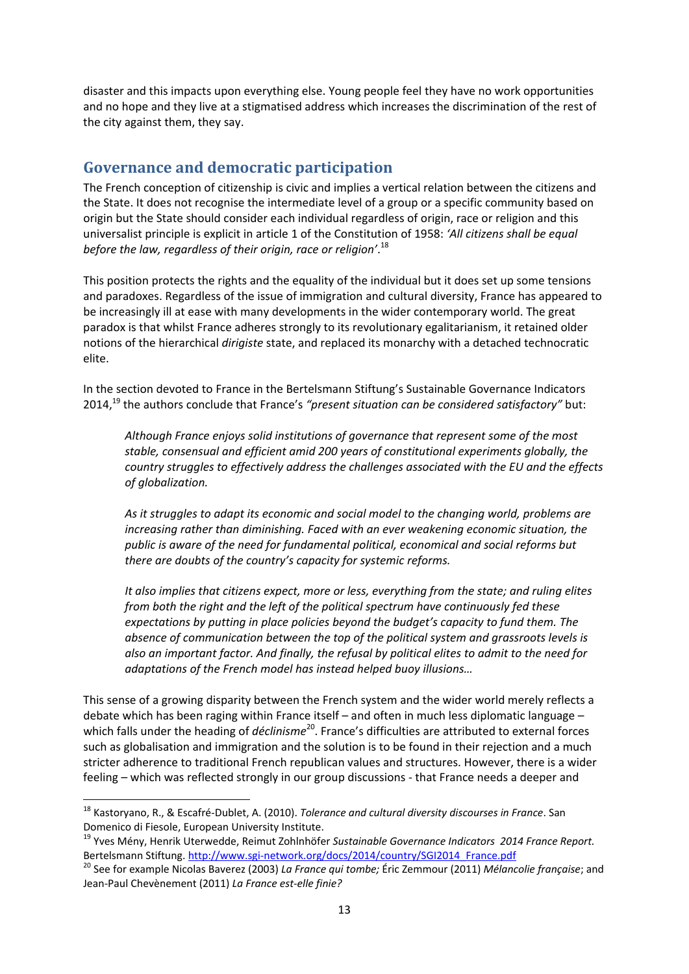disaster and this impacts upon everything else. Young people feel they have no work opportunities and no hope and they live at a stigmatised address which increases the discrimination of the rest of the city against them, they say.

## **Governance and democratic participation**

The French conception of citizenship is civic and implies a vertical relation between the citizens and the State. It does not recognise the intermediate level of a group or a specific community based on origin but the State should consider each individual regardless of origin, race or religion and this universalist principle is explicit in article 1 of the Constitution of 1958: *'All citizens shall be equal before the law, regardless of their origin, race or religion'*. 18

This position protects the rights and the equality of the individual but it does set up some tensions and paradoxes. Regardless of the issue of immigration and cultural diversity, France has appeared to be increasingly ill at ease with many developments in the wider contemporary world. The great paradox is that whilst France adheres strongly to its revolutionary egalitarianism, it retained older notions of the hierarchical *dirigiste* state, and replaced its monarchy with a detached technocratic elite.

In the section devoted to France in the Bertelsmann Stiftung's Sustainable Governance Indicators 2014,19 the authors conclude that France's *"present situation can be considered satisfactory"* but:

*Although France enjoys solid institutions of governance that represent some of the most stable, consensual and efficient amid 200 years of constitutional experiments globally, the country struggles to effectively address the challenges associated with the EU and the effects of globalization.*

*As it struggles to adapt its economic and social model to the changing world, problems are increasing rather than diminishing. Faced with an ever weakening economic situation, the public is aware of the need for fundamental political, economical and social reforms but there are doubts of the country's capacity for systemic reforms.*

*It also implies that citizens expect, more or less, everything from the state; and ruling elites from both the right and the left of the political spectrum have continuously fed these expectations by putting in place policies beyond the budget's capacity to fund them. The absence of communication between the top of the political system and grassroots levels is also an important factor. And finally, the refusal by political elites to admit to the need for adaptations of the French model has instead helped buoy illusions…*

This sense of a growing disparity between the French system and the wider world merely reflects a debate which has been raging within France itself – and often in much less diplomatic language – which falls under the heading of *déclinisme*<sup>20</sup>. France's difficulties are attributed to external forces such as globalisation and immigration and the solution is to be found in their rejection and a much stricter adherence to traditional French republican values and structures. However, there is a wider feeling – which was reflected strongly in our group discussions ‐ that France needs a deeper and

<sup>18</sup> Kastoryano, R., & Escafré‐Dublet, A. (2010). *Tolerance and cultural diversity discourses in France*. San Domenico di Fiesole, European University Institute. <sup>19</sup> Yves Mény, Henrik Uterwedde, Reimut Zohlnhöfer *Sustainable Governance Indicators <sup>2014</sup> France Report.*

Bertelsmann Stiftung. http://www.sgi-network.org/docs/2014/country/SGI2014 France.pdf<br><sup>20</sup> See for example Nicolas Baverez (2003) La France qui tombe; Éric Zemmour (2011) Mélancolie française; and

Jean‐Paul Chevènement (2011) *La France est‐elle finie?*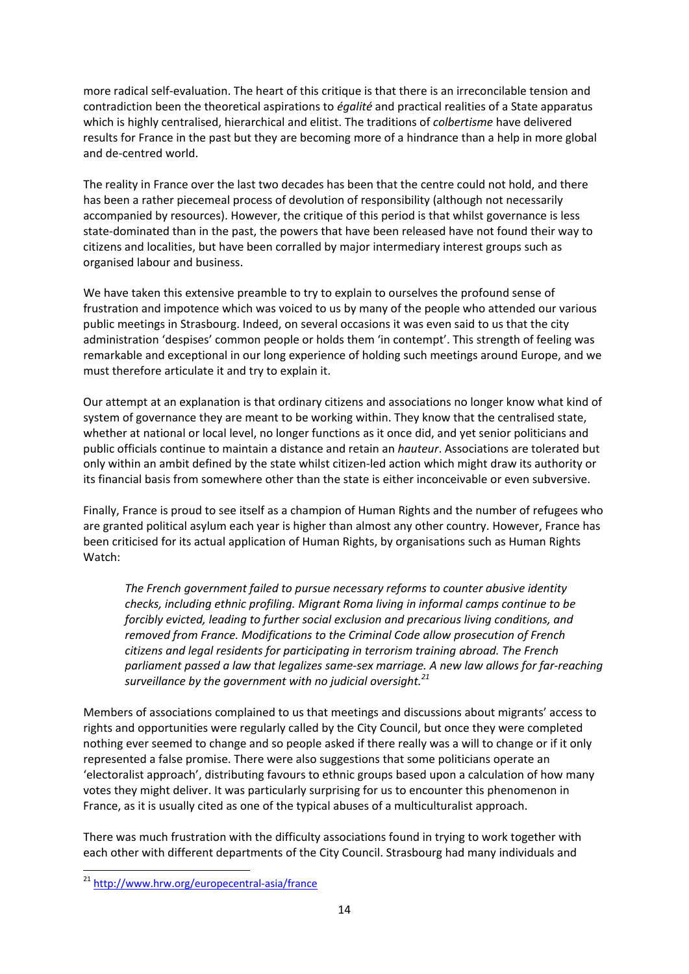more radical self‐evaluation. The heart of this critique is that there is an irreconcilable tension and contradiction been the theoretical aspirations to *égalité* and practical realities of a State apparatus which is highly centralised, hierarchical and elitist. The traditions of *colbertisme* have delivered results for France in the past but they are becoming more of a hindrance than a help in more global and de‐centred world.

The reality in France over the last two decades has been that the centre could not hold, and there has been a rather piecemeal process of devolution of responsibility (although not necessarily accompanied by resources). However, the critique of this period is that whilst governance is less state‐dominated than in the past, the powers that have been released have not found their way to citizens and localities, but have been corralled by major intermediary interest groups such as organised labour and business.

We have taken this extensive preamble to try to explain to ourselves the profound sense of frustration and impotence which was voiced to us by many of the people who attended our various public meetings in Strasbourg. Indeed, on several occasions it was even said to us that the city administration 'despises' common people or holds them 'in contempt'. This strength of feeling was remarkable and exceptional in our long experience of holding such meetings around Europe, and we must therefore articulate it and try to explain it.

Our attempt at an explanation is that ordinary citizens and associations no longer know what kind of system of governance they are meant to be working within. They know that the centralised state, whether at national or local level, no longer functions as it once did, and yet senior politicians and public officials continue to maintain a distance and retain an *hauteur*. Associations are tolerated but only within an ambit defined by the state whilst citizen‐led action which might draw its authority or its financial basis from somewhere other than the state is either inconceivable or even subversive.

Finally, France is proud to see itself as a champion of Human Rights and the number of refugees who are granted political asylum each year is higher than almost any other country. However, France has been criticised for its actual application of Human Rights, by organisations such as Human Rights Watch:

*The French government failed to pursue necessary reforms to counter abusive identity checks, including ethnic profiling. Migrant Roma living in informal camps continue to be forcibly evicted, leading to further social exclusion and precarious living conditions, and removed from France. Modifications to the Criminal Code allow prosecution of French citizens and legal residents for participating in terrorism training abroad. The French parliament passed a law that legalizes same‐sex marriage. A new law allows for far‐reaching surveillance by the government with no judicial oversight.<sup>21</sup>*

Members of associations complained to us that meetings and discussions about migrants' access to rights and opportunities were regularly called by the City Council, but once they were completed nothing ever seemed to change and so people asked if there really was a will to change or if it only represented a false promise. There were also suggestions that some politicians operate an 'electoralist approach', distributing favours to ethnic groups based upon a calculation of how many votes they might deliver. It was particularly surprising for us to encounter this phenomenon in France, as it is usually cited as one of the typical abuses of a multiculturalist approach.

There was much frustration with the difficulty associations found in trying to work together with each other with different departments of the City Council. Strasbourg had many individuals and

<sup>21</sup> http://www.hrw.org/europecentral‐asia/france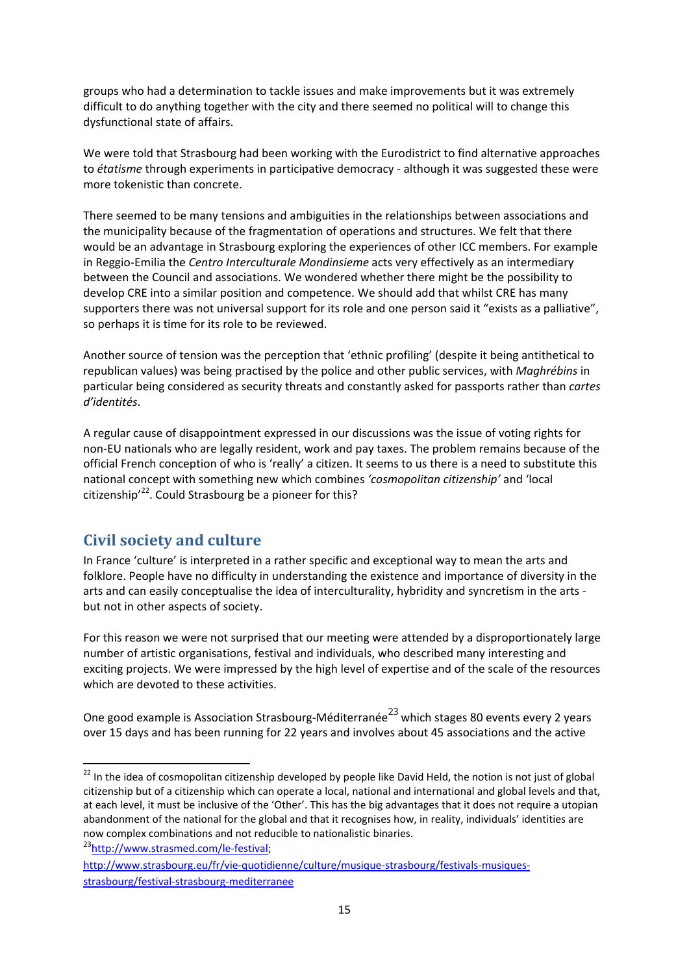groups who had a determination to tackle issues and make improvements but it was extremely difficult to do anything together with the city and there seemed no political will to change this dysfunctional state of affairs.

We were told that Strasbourg had been working with the Eurodistrict to find alternative approaches to *étatisme* through experiments in participative democracy ‐ although it was suggested these were more tokenistic than concrete.

There seemed to be many tensions and ambiguities in the relationships between associations and the municipality because of the fragmentation of operations and structures. We felt that there would be an advantage in Strasbourg exploring the experiences of other ICC members. For example in Reggio‐Emilia the *Centro Interculturale Mondinsieme* acts very effectively as an intermediary between the Council and associations. We wondered whether there might be the possibility to develop CRE into a similar position and competence. We should add that whilst CRE has many supporters there was not universal support for its role and one person said it "exists as a palliative", so perhaps it is time for its role to be reviewed.

Another source of tension was the perception that 'ethnic profiling' (despite it being antithetical to republican values) was being practised by the police and other public services, with *Maghrébins* in particular being considered as security threats and constantly asked for passports rather than *cartes d'identités*.

A regular cause of disappointment expressed in our discussions was the issue of voting rights for non‐EU nationals who are legally resident, work and pay taxes. The problem remains because of the official French conception of who is 'really' a citizen. It seems to us there is a need to substitute this national concept with something new which combines *'cosmopolitan citizenship'* and 'local citizenship<sup> $22$ </sup>. Could Strasbourg be a pioneer for this?

## **Civil society and culture**

In France 'culture' is interpreted in a rather specific and exceptional way to mean the arts and folklore. People have no difficulty in understanding the existence and importance of diversity in the arts and can easily conceptualise the idea of interculturality, hybridity and syncretism in the arts ‐ but not in other aspects of society.

For this reason we were not surprised that our meeting were attended by a disproportionately large number of artistic organisations, festival and individuals, who described many interesting and exciting projects. We were impressed by the high level of expertise and of the scale of the resources which are devoted to these activities.

One good example is Association Strasbourg-Méditerranée<sup>23</sup> which stages 80 events every 2 years over 15 days and has been running for 22 years and involves about 45 associations and the active

<sup>&</sup>lt;sup>22</sup> In the idea of cosmopolitan citizenship developed by people like David Held, the notion is not just of global citizenship but of a citizenship which can operate a local, national and international and global levels and that, at each level, it must be inclusive of the 'Other'. This has the big advantages that it does not require a utopian abandonment of the national for the global and that it recognises how, in reality, individuals' identities are now complex combinations and not reducible to nationalistic binaries.

<sup>23</sup>http://www.strasmed.com/le-festival;

http://www.strasbourg.eu/fr/vie-quotidienne/culture/musique-strasbourg/festivals-musiquesstrasbourg/festival‐strasbourg‐mediterranee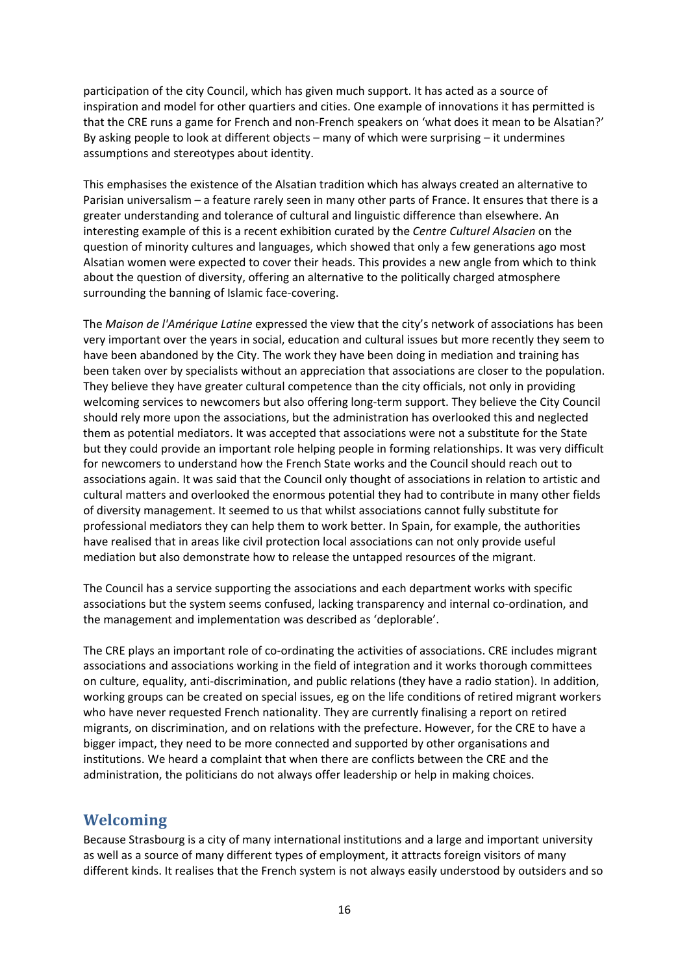participation of the city Council, which has given much support. It has acted as a source of inspiration and model for other quartiers and cities. One example of innovations it has permitted is that the CRE runs a game for French and non‐French speakers on 'what does it mean to be Alsatian?' By asking people to look at different objects – many of which were surprising – it undermines assumptions and stereotypes about identity.

This emphasises the existence of the Alsatian tradition which has always created an alternative to Parisian universalism – a feature rarely seen in many other parts of France. It ensures that there is a greater understanding and tolerance of cultural and linguistic difference than elsewhere. An interesting example of this is a recent exhibition curated by the *Centre Culturel Alsacien* on the question of minority cultures and languages, which showed that only a few generations ago most Alsatian women were expected to cover their heads. This provides a new angle from which to think about the question of diversity, offering an alternative to the politically charged atmosphere surrounding the banning of Islamic face‐covering.

The *Maison de l'Amérique Latine* expressed the view that the city's network of associations has been very important over the years in social, education and cultural issues but more recently they seem to have been abandoned by the City. The work they have been doing in mediation and training has been taken over by specialists without an appreciation that associations are closer to the population. They believe they have greater cultural competence than the city officials, not only in providing welcoming services to newcomers but also offering long-term support. They believe the City Council should rely more upon the associations, but the administration has overlooked this and neglected them as potential mediators. It was accepted that associations were not a substitute for the State but they could provide an important role helping people in forming relationships. It was very difficult for newcomers to understand how the French State works and the Council should reach out to associations again. It was said that the Council only thought of associations in relation to artistic and cultural matters and overlooked the enormous potential they had to contribute in many other fields of diversity management. It seemed to us that whilst associations cannot fully substitute for professional mediators they can help them to work better. In Spain, for example, the authorities have realised that in areas like civil protection local associations can not only provide useful mediation but also demonstrate how to release the untapped resources of the migrant.

The Council has a service supporting the associations and each department works with specific associations but the system seems confused, lacking transparency and internal co-ordination, and the management and implementation was described as 'deplorable'.

The CRE plays an important role of co-ordinating the activities of associations. CRE includes migrant associations and associations working in the field of integration and it works thorough committees on culture, equality, anti‐discrimination, and public relations (they have a radio station). In addition, working groups can be created on special issues, eg on the life conditions of retired migrant workers who have never requested French nationality. They are currently finalising a report on retired migrants, on discrimination, and on relations with the prefecture. However, for the CRE to have a bigger impact, they need to be more connected and supported by other organisations and institutions. We heard a complaint that when there are conflicts between the CRE and the administration, the politicians do not always offer leadership or help in making choices.

## **Welcoming**

Because Strasbourg is a city of many international institutions and a large and important university as well as a source of many different types of employment, it attracts foreign visitors of many different kinds. It realises that the French system is not always easily understood by outsiders and so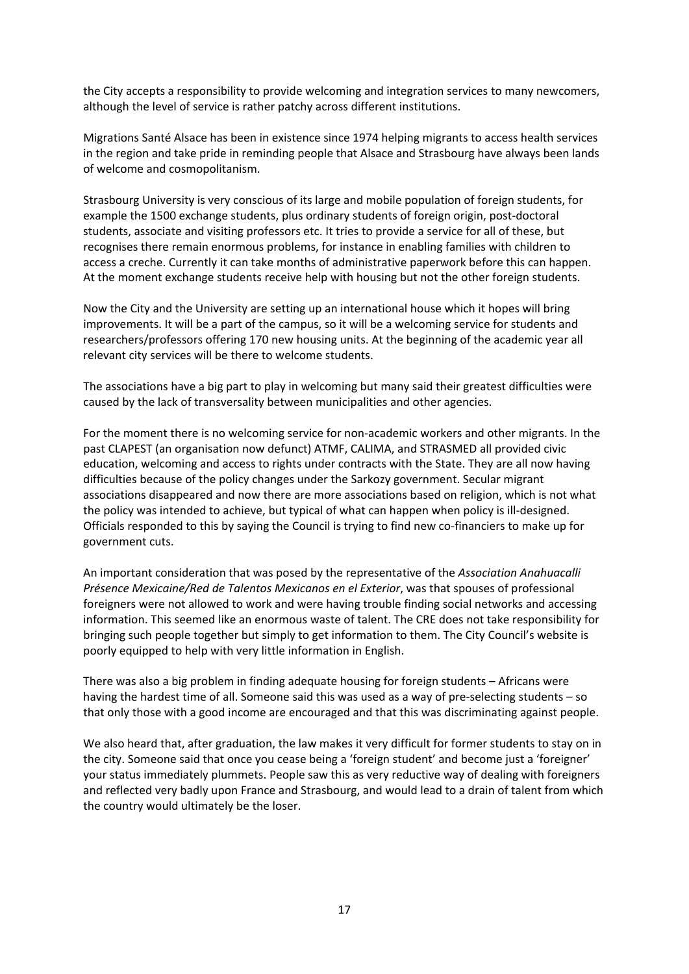the City accepts a responsibility to provide welcoming and integration services to many newcomers, although the level of service is rather patchy across different institutions.

Migrations Santé Alsace has been in existence since 1974 helping migrants to access health services in the region and take pride in reminding people that Alsace and Strasbourg have always been lands of welcome and cosmopolitanism.

Strasbourg University is very conscious of its large and mobile population of foreign students, for example the 1500 exchange students, plus ordinary students of foreign origin, post-doctoral students, associate and visiting professors etc. It tries to provide a service for all of these, but recognises there remain enormous problems, for instance in enabling families with children to access a creche. Currently it can take months of administrative paperwork before this can happen. At the moment exchange students receive help with housing but not the other foreign students.

Now the City and the University are setting up an international house which it hopes will bring improvements. It will be a part of the campus, so it will be a welcoming service for students and researchers/professors offering 170 new housing units. At the beginning of the academic year all relevant city services will be there to welcome students.

The associations have a big part to play in welcoming but many said their greatest difficulties were caused by the lack of transversality between municipalities and other agencies.

For the moment there is no welcoming service for non-academic workers and other migrants. In the past CLAPEST (an organisation now defunct) ATMF, CALIMA, and STRASMED all provided civic education, welcoming and access to rights under contracts with the State. They are all now having difficulties because of the policy changes under the Sarkozy government. Secular migrant associations disappeared and now there are more associations based on religion, which is not what the policy was intended to achieve, but typical of what can happen when policy is ill‐designed. Officials responded to this by saying the Council is trying to find new co‐financiers to make up for government cuts.

An important consideration that was posed by the representative of the *Association Anahuacalli Présence Mexicaine/Red de Talentos Mexicanos en el Exterior*, was that spouses of professional foreigners were not allowed to work and were having trouble finding social networks and accessing information. This seemed like an enormous waste of talent. The CRE does not take responsibility for bringing such people together but simply to get information to them. The City Council's website is poorly equipped to help with very little information in English.

There was also a big problem in finding adequate housing for foreign students – Africans were having the hardest time of all. Someone said this was used as a way of pre-selecting students – so that only those with a good income are encouraged and that this was discriminating against people.

We also heard that, after graduation, the law makes it very difficult for former students to stay on in the city. Someone said that once you cease being a 'foreign student' and become just a 'foreigner' your status immediately plummets. People saw this as very reductive way of dealing with foreigners and reflected very badly upon France and Strasbourg, and would lead to a drain of talent from which the country would ultimately be the loser.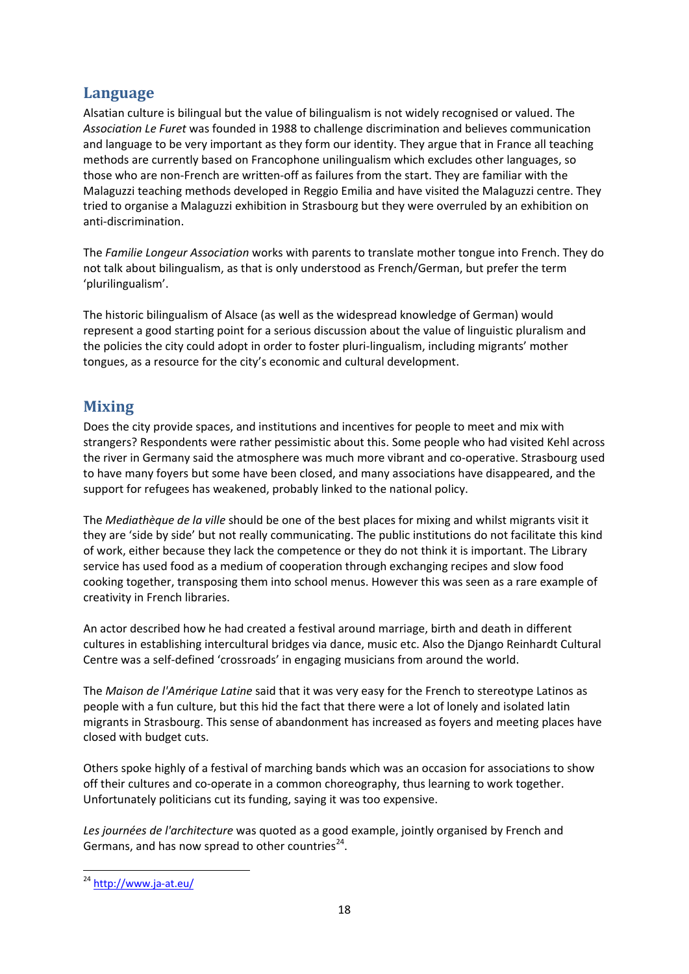## **Language**

Alsatian culture is bilingual but the value of bilingualism is not widely recognised or valued. The *Association Le Furet* was founded in 1988 to challenge discrimination and believes communication and language to be very important as they form our identity. They argue that in France all teaching methods are currently based on Francophone unilingualism which excludes other languages, so those who are non‐French are written‐off as failures from the start. They are familiar with the Malaguzzi teaching methods developed in Reggio Emilia and have visited the Malaguzzi centre. They tried to organise a Malaguzzi exhibition in Strasbourg but they were overruled by an exhibition on anti‐discrimination.

The *Familie Longeur Association* works with parents to translate mother tongue into French. They do not talk about bilingualism, as that is only understood as French/German, but prefer the term 'plurilingualism'.

The historic bilingualism of Alsace (as well as the widespread knowledge of German) would represent a good starting point for a serious discussion about the value of linguistic pluralism and the policies the city could adopt in order to foster pluri‐lingualism, including migrants' mother tongues, as a resource for the city's economic and cultural development.

## **Mixing**

Does the city provide spaces, and institutions and incentives for people to meet and mix with strangers? Respondents were rather pessimistic about this. Some people who had visited Kehl across the river in Germany said the atmosphere was much more vibrant and co-operative. Strasbourg used to have many foyers but some have been closed, and many associations have disappeared, and the support for refugees has weakened, probably linked to the national policy.

The *Mediathèque de la ville* should be one of the best places for mixing and whilst migrants visit it they are 'side by side' but not really communicating. The public institutions do not facilitate this kind of work, either because they lack the competence or they do not think it is important. The Library service has used food as a medium of cooperation through exchanging recipes and slow food cooking together, transposing them into school menus. However this was seen as a rare example of creativity in French libraries.

An actor described how he had created a festival around marriage, birth and death in different cultures in establishing intercultural bridges via dance, music etc. Also the Django Reinhardt Cultural Centre was a self‐defined 'crossroads' in engaging musicians from around the world.

The *Maison de l'Amérique Latine* said that it was very easy for the French to stereotype Latinos as people with a fun culture, but this hid the fact that there were a lot of lonely and isolated latin migrants in Strasbourg. This sense of abandonment has increased as foyers and meeting places have closed with budget cuts.

Others spoke highly of a festival of marching bands which was an occasion for associations to show off their cultures and co‐operate in a common choreography, thus learning to work together. Unfortunately politicians cut its funding, saying it was too expensive.

*Les journées de l'architecture* was quoted as a good example, jointly organised by French and Germans, and has now spread to other countries<sup>24</sup>.

<sup>24</sup> http://www.ja‐at.eu/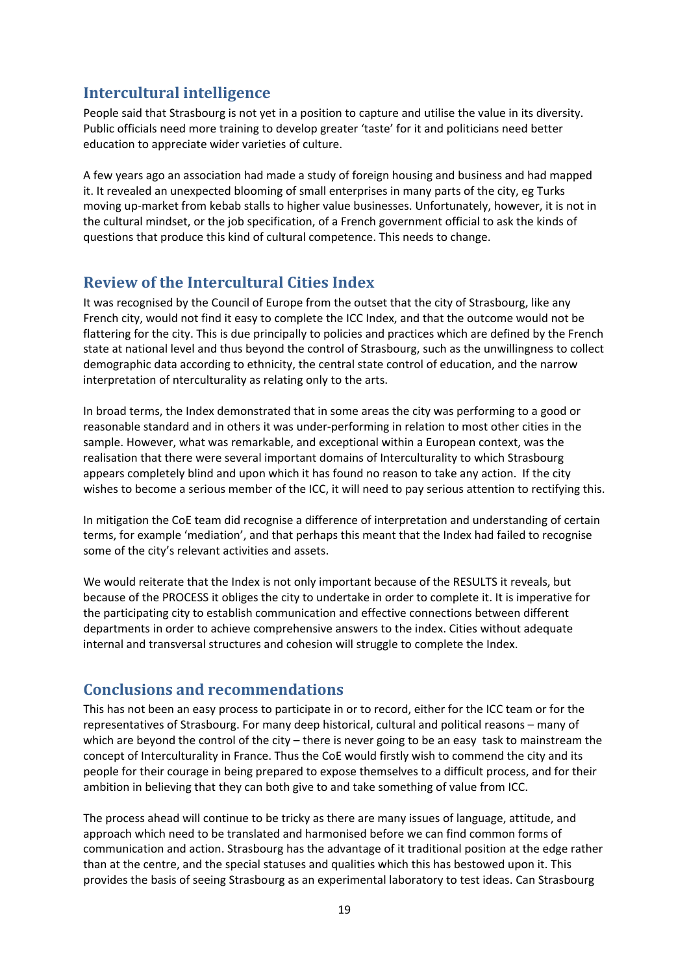## **Intercultural intelligence**

People said that Strasbourg is not yet in a position to capture and utilise the value in its diversity. Public officials need more training to develop greater 'taste' for it and politicians need better education to appreciate wider varieties of culture.

A few years ago an association had made a study of foreign housing and business and had mapped it. It revealed an unexpected blooming of small enterprises in many parts of the city, eg Turks moving up‐market from kebab stalls to higher value businesses. Unfortunately, however, it is not in the cultural mindset, or the job specification, of a French government official to ask the kinds of questions that produce this kind of cultural competence. This needs to change.

## **Review of the Intercultural Cities Index**

It was recognised by the Council of Europe from the outset that the city of Strasbourg, like any French city, would not find it easy to complete the ICC Index, and that the outcome would not be flattering for the city. This is due principally to policies and practices which are defined by the French state at national level and thus beyond the control of Strasbourg, such as the unwillingness to collect demographic data according to ethnicity, the central state control of education, and the narrow interpretation of nterculturality as relating only to the arts.

In broad terms, the Index demonstrated that in some areas the city was performing to a good or reasonable standard and in others it was under‐performing in relation to most other cities in the sample. However, what was remarkable, and exceptional within a European context, was the realisation that there were several important domains of Interculturality to which Strasbourg appears completely blind and upon which it has found no reason to take any action. If the city wishes to become a serious member of the ICC, it will need to pay serious attention to rectifying this.

In mitigation the CoE team did recognise a difference of interpretation and understanding of certain terms, for example 'mediation', and that perhaps this meant that the Index had failed to recognise some of the city's relevant activities and assets.

We would reiterate that the Index is not only important because of the RESULTS it reveals, but because of the PROCESS it obliges the city to undertake in order to complete it. It is imperative for the participating city to establish communication and effective connections between different departments in order to achieve comprehensive answers to the index. Cities without adequate internal and transversal structures and cohesion will struggle to complete the Index.

## **Conclusions and recommendations**

This has not been an easy process to participate in or to record, either for the ICC team or for the representatives of Strasbourg. For many deep historical, cultural and political reasons – many of which are beyond the control of the city – there is never going to be an easy task to mainstream the concept of Interculturality in France. Thus the CoE would firstly wish to commend the city and its people for their courage in being prepared to expose themselves to a difficult process, and for their ambition in believing that they can both give to and take something of value from ICC.

The process ahead will continue to be tricky as there are many issues of language, attitude, and approach which need to be translated and harmonised before we can find common forms of communication and action. Strasbourg has the advantage of it traditional position at the edge rather than at the centre, and the special statuses and qualities which this has bestowed upon it. This provides the basis of seeing Strasbourg as an experimental laboratory to test ideas. Can Strasbourg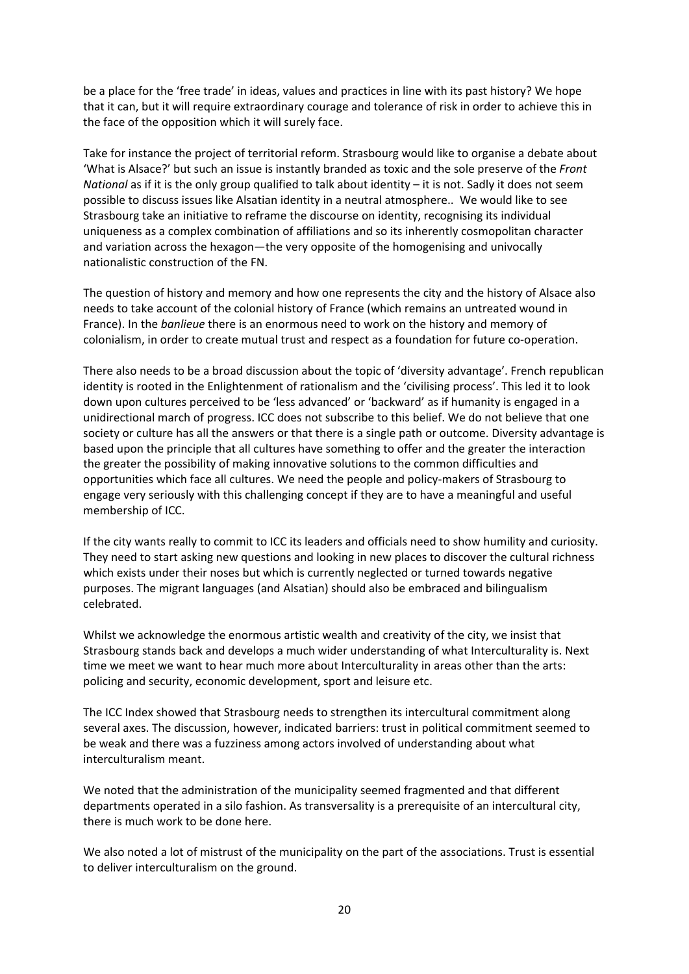be a place for the 'free trade' in ideas, values and practices in line with its past history? We hope that it can, but it will require extraordinary courage and tolerance of risk in order to achieve this in the face of the opposition which it will surely face.

Take for instance the project of territorial reform. Strasbourg would like to organise a debate about 'What is Alsace?' but such an issue is instantly branded as toxic and the sole preserve of the *Front National* as if it is the only group qualified to talk about identity – it is not. Sadly it does not seem possible to discuss issues like Alsatian identity in a neutral atmosphere.. We would like to see Strasbourg take an initiative to reframe the discourse on identity, recognising its individual uniqueness as a complex combination of affiliations and so its inherently cosmopolitan character and variation across the hexagon—the very opposite of the homogenising and univocally nationalistic construction of the FN.

The question of history and memory and how one represents the city and the history of Alsace also needs to take account of the colonial history of France (which remains an untreated wound in France). In the *banlieue* there is an enormous need to work on the history and memory of colonialism, in order to create mutual trust and respect as a foundation for future co‐operation.

There also needs to be a broad discussion about the topic of 'diversity advantage'. French republican identity is rooted in the Enlightenment of rationalism and the 'civilising process'. This led it to look down upon cultures perceived to be 'less advanced' or 'backward' as if humanity is engaged in a unidirectional march of progress. ICC does not subscribe to this belief. We do not believe that one society or culture has all the answers or that there is a single path or outcome. Diversity advantage is based upon the principle that all cultures have something to offer and the greater the interaction the greater the possibility of making innovative solutions to the common difficulties and opportunities which face all cultures. We need the people and policy‐makers of Strasbourg to engage very seriously with this challenging concept if they are to have a meaningful and useful membership of ICC.

If the city wants really to commit to ICC its leaders and officials need to show humility and curiosity. They need to start asking new questions and looking in new places to discover the cultural richness which exists under their noses but which is currently neglected or turned towards negative purposes. The migrant languages (and Alsatian) should also be embraced and bilingualism celebrated.

Whilst we acknowledge the enormous artistic wealth and creativity of the city, we insist that Strasbourg stands back and develops a much wider understanding of what Interculturality is. Next time we meet we want to hear much more about Interculturality in areas other than the arts: policing and security, economic development, sport and leisure etc.

The ICC Index showed that Strasbourg needs to strengthen its intercultural commitment along several axes. The discussion, however, indicated barriers: trust in political commitment seemed to be weak and there was a fuzziness among actors involved of understanding about what interculturalism meant.

We noted that the administration of the municipality seemed fragmented and that different departments operated in a silo fashion. As transversality is a prerequisite of an intercultural city, there is much work to be done here.

We also noted a lot of mistrust of the municipality on the part of the associations. Trust is essential to deliver interculturalism on the ground.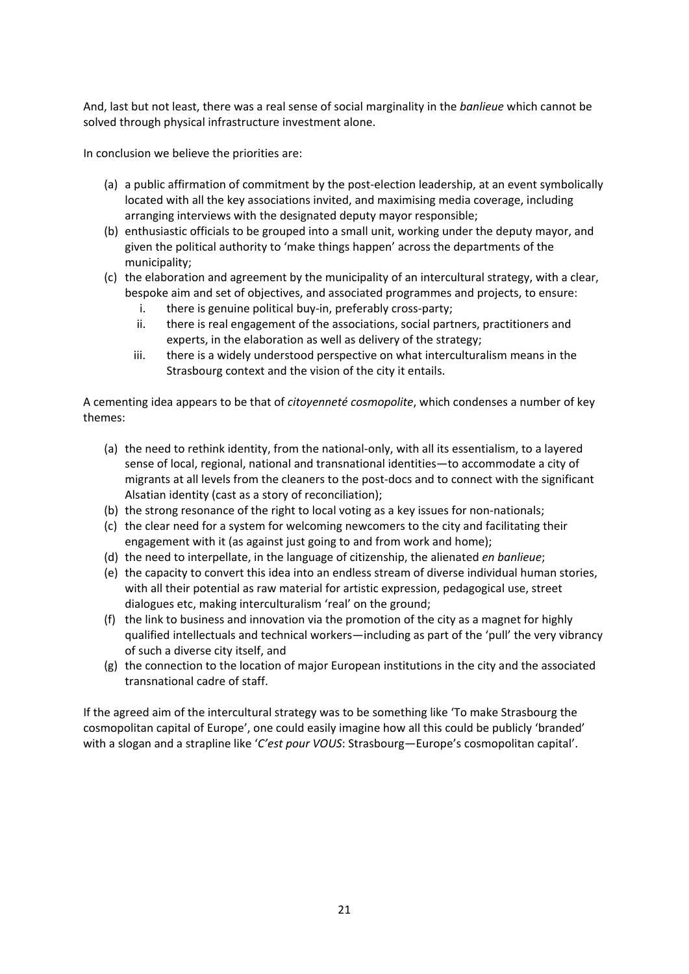And, last but not least, there was a real sense of social marginality in the *banlieue* which cannot be solved through physical infrastructure investment alone.

In conclusion we believe the priorities are:

- (a) a public affirmation of commitment by the post‐election leadership, at an event symbolically located with all the key associations invited, and maximising media coverage, including arranging interviews with the designated deputy mayor responsible;
- (b) enthusiastic officials to be grouped into a small unit, working under the deputy mayor, and given the political authority to 'make things happen' across the departments of the municipality;
- (c) the elaboration and agreement by the municipality of an intercultural strategy, with a clear, bespoke aim and set of objectives, and associated programmes and projects, to ensure:
	- i. there is genuine political buy-in, preferably cross-party;
	- ii. there is real engagement of the associations, social partners, practitioners and experts, in the elaboration as well as delivery of the strategy;
	- iii. there is a widely understood perspective on what interculturalism means in the Strasbourg context and the vision of the city it entails.

A cementing idea appears to be that of *citoyenneté cosmopolite*, which condenses a number of key themes:

- (a) the need to rethink identity, from the national‐only, with all its essentialism, to a layered sense of local, regional, national and transnational identities—to accommodate a city of migrants at all levels from the cleaners to the post‐docs and to connect with the significant Alsatian identity (cast as a story of reconciliation);
- (b) the strong resonance of the right to local voting as a key issues for non‐nationals;
- (c) the clear need for a system for welcoming newcomers to the city and facilitating their engagement with it (as against just going to and from work and home);
- (d) the need to interpellate, in the language of citizenship, the alienated *en banlieue*;
- (e) the capacity to convert this idea into an endless stream of diverse individual human stories, with all their potential as raw material for artistic expression, pedagogical use, street dialogues etc, making interculturalism 'real' on the ground;
- (f) the link to business and innovation via the promotion of the city as a magnet for highly qualified intellectuals and technical workers—including as part of the 'pull' the very vibrancy of such a diverse city itself, and
- (g) the connection to the location of major European institutions in the city and the associated transnational cadre of staff.

If the agreed aim of the intercultural strategy was to be something like 'To make Strasbourg the cosmopolitan capital of Europe', one could easily imagine how all this could be publicly 'branded' with a slogan and a strapline like '*C'est pour VOUS*: Strasbourg—Europe's cosmopolitan capital'.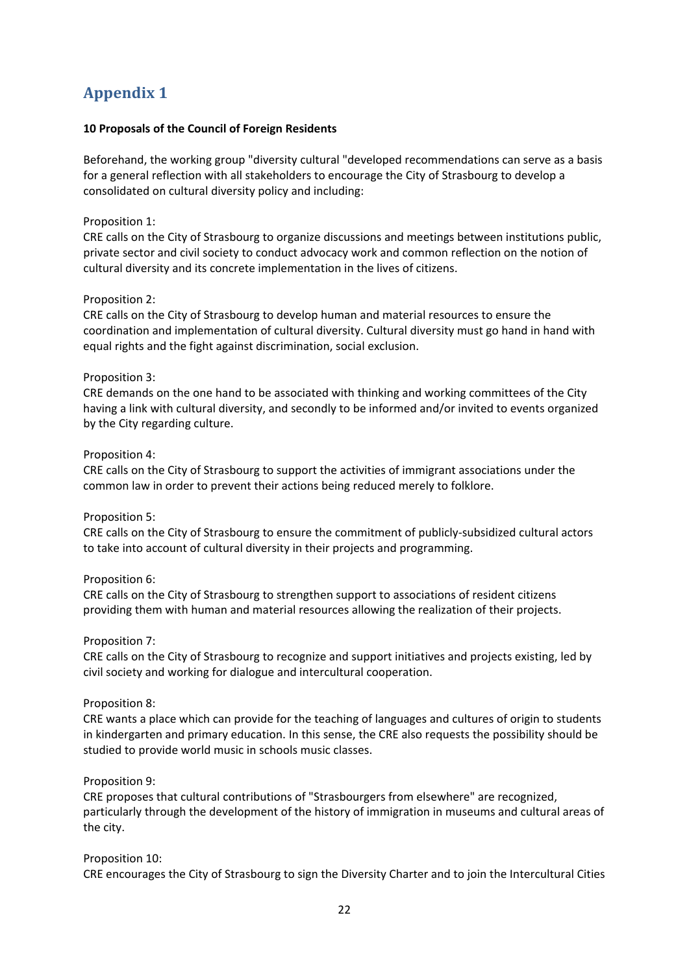## **Appendix 1**

#### **10 Proposals of the Council of Foreign Residents**

Beforehand, the working group "diversity cultural "developed recommendations can serve as a basis for a general reflection with all stakeholders to encourage the City of Strasbourg to develop a consolidated on cultural diversity policy and including:

#### Proposition 1:

CRE calls on the City of Strasbourg to organize discussions and meetings between institutions public, private sector and civil society to conduct advocacy work and common reflection on the notion of cultural diversity and its concrete implementation in the lives of citizens.

#### Proposition 2:

CRE calls on the City of Strasbourg to develop human and material resources to ensure the coordination and implementation of cultural diversity. Cultural diversity must go hand in hand with equal rights and the fight against discrimination, social exclusion.

#### Proposition 3:

CRE demands on the one hand to be associated with thinking and working committees of the City having a link with cultural diversity, and secondly to be informed and/or invited to events organized by the City regarding culture.

#### Proposition 4:

CRE calls on the City of Strasbourg to support the activities of immigrant associations under the common law in order to prevent their actions being reduced merely to folklore.

#### Proposition 5:

CRE calls on the City of Strasbourg to ensure the commitment of publicly‐subsidized cultural actors to take into account of cultural diversity in their projects and programming.

#### Proposition 6:

CRE calls on the City of Strasbourg to strengthen support to associations of resident citizens providing them with human and material resources allowing the realization of their projects.

#### Proposition 7:

CRE calls on the City of Strasbourg to recognize and support initiatives and projects existing, led by civil society and working for dialogue and intercultural cooperation.

#### Proposition 8:

CRE wants a place which can provide for the teaching of languages and cultures of origin to students in kindergarten and primary education. In this sense, the CRE also requests the possibility should be studied to provide world music in schools music classes.

#### Proposition 9:

CRE proposes that cultural contributions of "Strasbourgers from elsewhere" are recognized, particularly through the development of the history of immigration in museums and cultural areas of the city.

#### Proposition 10:

CRE encourages the City of Strasbourg to sign the Diversity Charter and to join the Intercultural Cities